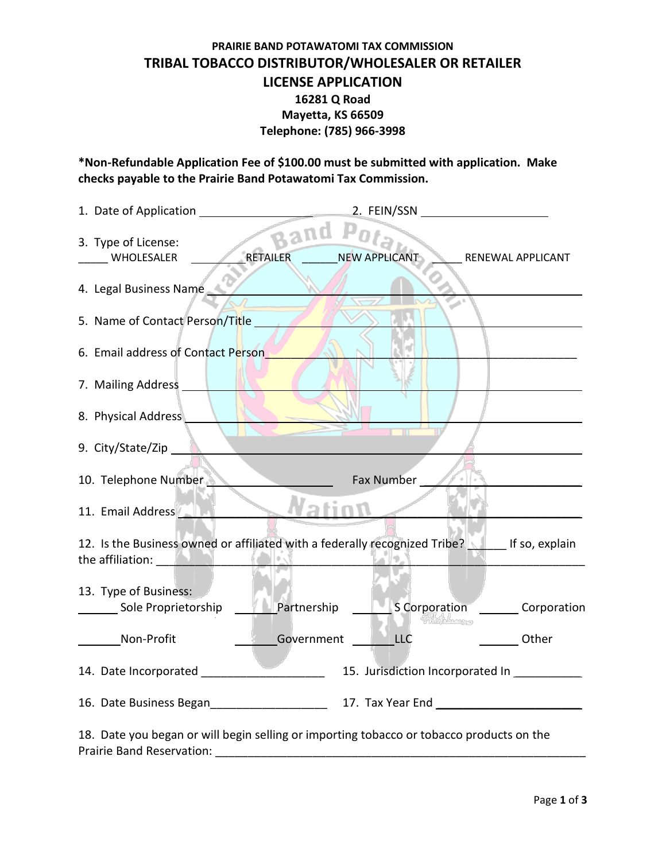# **PRAIRIE BAND POTAWATOMI TAX COMMISSION TRIBAL TOBACCO DISTRIBUTOR/WHOLESALER OR RETAILER LICENSE APPLICATION 16281 Q Road Mayetta, KS 66509 Telephone: (785) 966-3998**

**\*Non-Refundable Application Fee of \$100.00 must be submitted with application. Make checks payable to the Prairie Band Potawatomi Tax Commission.** 

| 3. Type of License:<br>WHOLESALER                                                                                                                                                                                  | RETAILER NEWS                | NEW APPLICANT                              | RENEWAL APPLICANT                    |
|--------------------------------------------------------------------------------------------------------------------------------------------------------------------------------------------------------------------|------------------------------|--------------------------------------------|--------------------------------------|
| 4. Legal Business Name                                                                                                                                                                                             |                              |                                            |                                      |
| 5. Name of Contact Person/Title                                                                                                                                                                                    |                              |                                            |                                      |
| 6. Email address of Contact Person                                                                                                                                                                                 |                              |                                            |                                      |
| 7. Mailing Address                                                                                                                                                                                                 |                              |                                            |                                      |
| 8. Physical Address                                                                                                                                                                                                |                              |                                            |                                      |
| 9. City/State/Zip                                                                                                                                                                                                  |                              |                                            |                                      |
| 10. Telephone Number                                                                                                                                                                                               |                              | Fax Number                                 |                                      |
| 11. Email Address                                                                                                                                                                                                  | $\blacktriangleright$ Nation |                                            |                                      |
| 12. Is the Business owned or affiliated with a federally recognized Tribe? If so, explain<br>the affiliation: <b>All and All and All and All and All and All and All and All and All and All and All and All a</b> |                              |                                            |                                      |
| 13. Type of Business:                                                                                                                                                                                              |                              |                                            |                                      |
| Sole Proprietorship                                                                                                                                                                                                |                              | Shingh from a                              | Partnership SCorporation Corporation |
| Non-Profit                                                                                                                                                                                                         | Government LLC               |                                            | <b>Other</b>                         |
|                                                                                                                                                                                                                    |                              | 15. Jurisdiction Incorporated In _________ |                                      |
| 16. Date Business Began 16. March 2014 17. Tax Year End                                                                                                                                                            |                              |                                            |                                      |

18. Date you began or will begin selling or importing tobacco or tobacco products on the Prairie Band Reservation: \_\_\_\_\_\_\_\_\_\_\_\_\_\_\_\_\_\_\_\_\_\_\_\_\_\_\_\_\_\_\_\_\_\_\_\_\_\_\_\_\_\_\_\_\_\_\_\_\_\_\_\_\_\_\_\_\_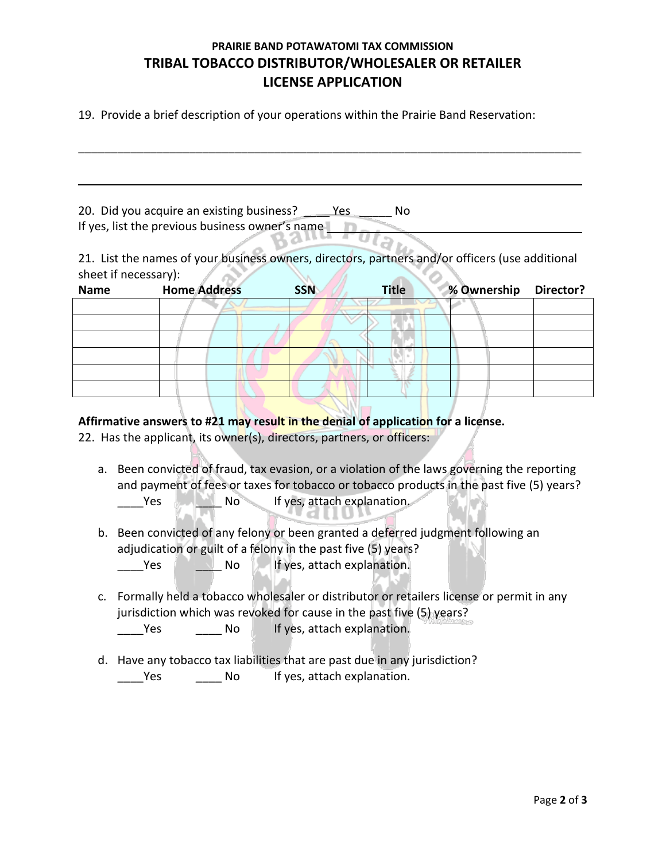# **PRAIRIE BAND POTAWATOMI TAX COMMISSION TRIBAL TOBACCO DISTRIBUTOR/WHOLESALER OR RETAILER LICENSE APPLICATION**

 $\mathcal{L}_\text{max}$  and  $\mathcal{L}_\text{max}$  and  $\mathcal{L}_\text{max}$  and  $\mathcal{L}_\text{max}$  and  $\mathcal{L}_\text{max}$  and  $\mathcal{L}_\text{max}$ 

19. Provide a brief description of your operations within the Prairie Band Reservation:

20. Did you acquire an existing business? \_\_\_\_ Yes \_\_\_\_\_ No If yes, list the previous business owner's name

21. List the names of your business owners, directors, partners and/or officers (use additional sheet if necessary):  $\sqrt{10}$ - 62 

| <b>Name</b> | <b>Home Address</b> | <b>SSN</b> | <b>Title</b> | % Ownership | Director? |
|-------------|---------------------|------------|--------------|-------------|-----------|
|             |                     |            |              |             |           |
|             |                     |            |              |             |           |
|             |                     |            |              |             |           |
|             |                     |            |              |             |           |
|             |                     |            |              |             |           |
|             |                     |            |              |             |           |

#### **Affirmative answers to #21 may result in the denial of application for a license.**

22. Has the applicant, its owner(s), directors, partners, or officers:

a. Been convicted of fraud, tax evasion, or a violation of the laws governing the reporting and payment of fees or taxes for tobacco or tobacco products in the past five (5) years? Yes No If yes, attach explanation.

b. Been convicted of any felony or been granted a deferred judgment following an adjudication or guilt of a felony in the past five (5) years? Yes No Interves, attach explanation.

c. Formally held a tobacco wholesaler or distributor or retailers license or permit in any jurisdiction which was revoked for cause in the past five (5) years?

Lacked Morrow Morrow If yes, attach explanation.

d. Have any tobacco tax liabilities that are past due in any jurisdiction? Yes Mo If yes, attach explanation.